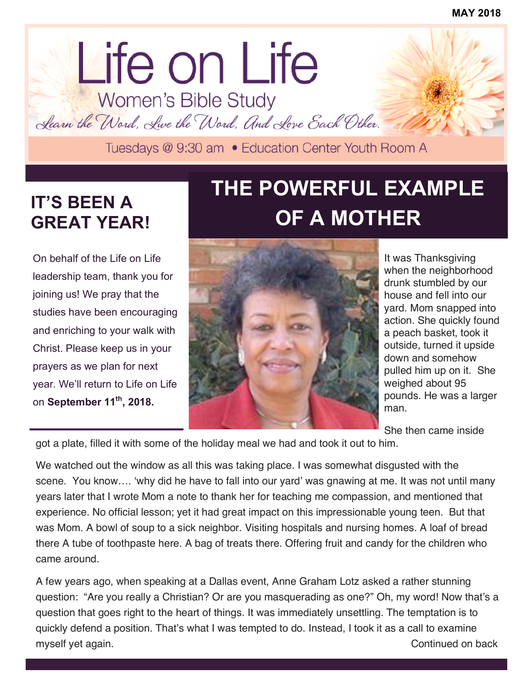# lorem ipsum dolor dolor sit amet. Life on Life<br>Women's Bible Study

Learn the Word, Live the Word, And Love Each Other.

### **IT'S BEEN A GREAT YEAR!**

On behalf of the Life on Life leadership team, thank you for joining us! We pray that the studies have been encouraging and enriching to your walk with Christ. Please keep us in your prayers as we plan for next year. We'll return to Life on Life on **September 11th, 2018.**

## **THE POWERFUL EXAMPLE OF A MOTHER**



It was Thanksgiving when the neighborhood drunk stumbled by our house and fell into our yard. Mom snapped into action. She quickly found a peach basket, took it outside, turned it upside down and somehow pulled him up on it. She weighed about 95 pounds. He was a larger man.

She then came inside

got a plate, filled it with some of the holiday meal we had and took it out to him.

We watched out the window as all this was taking place. I was somewhat disgusted with the scene. You know…. 'why did he have to fall into our yard' was gnawing at me. It was not until many years later that I wrote Mom a note to thank her for teaching me compassion, and mentioned that experience. No official lesson; yet it had great impact on this impressionable young teen. But that was Mom. A bowl of soup to a sick neighbor. Visiting hospitals and nursing homes. A loaf of bread there A tube of toothpaste here. A bag of treats there. Offering fruit and candy for the children who came around.

A few years ago, when speaking at a Dallas event, Anne Graham Lotz asked a rather stunning question: "Are you really a Christian? Or are you masquerading as one?" Oh, my word! Now that's a question that goes right to the heart of things. It was immediately unsettling. The temptation is to quickly defend a position. That's what I was tempted to do. Instead, I took it as a call to examine myself yet again. The continued on back and the continued on back continued on back